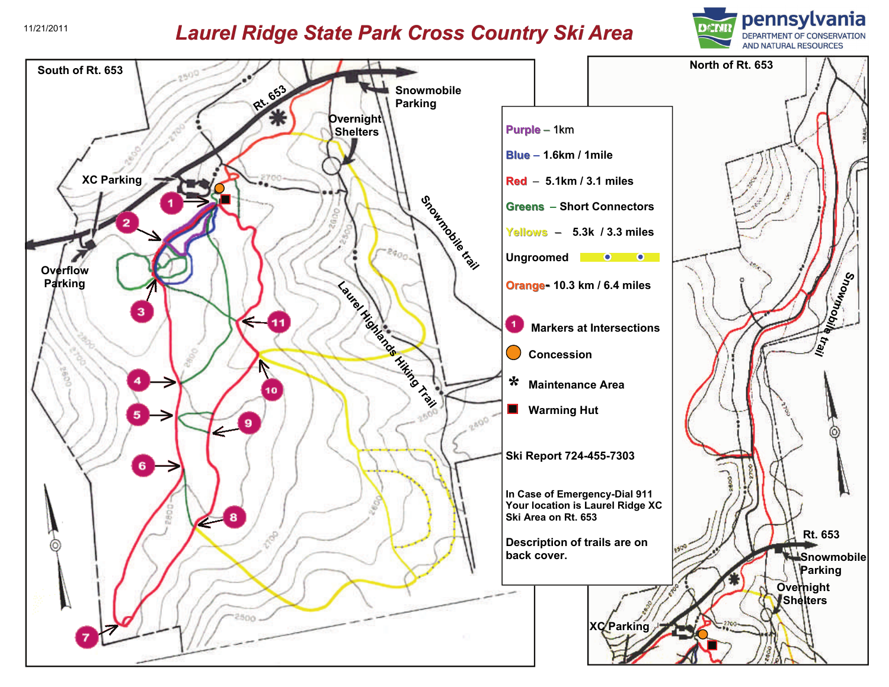## *Laurel Ridge State Park Cross Country Ski Area* 11/21/2011